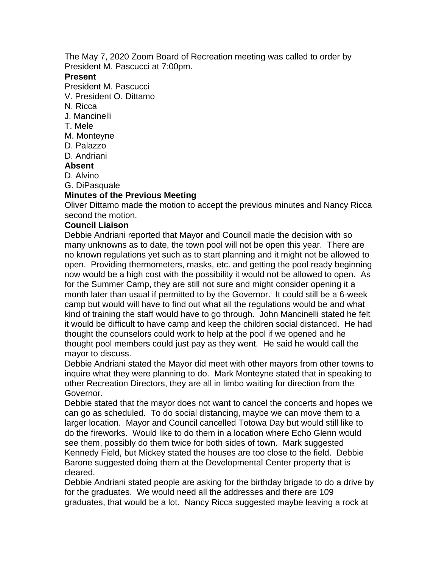The May 7, 2020 Zoom Board of Recreation meeting was called to order by President M. Pascucci at 7:00pm.

### **Present**

President M. Pascucci

- V. President O. Dittamo
- N. Ricca
- J. Mancinelli
- T. Mele
- M. Monteyne
- D. Palazzo
- D. Andriani

### **Absent**

D. Alvino

G. DiPasquale

## **Minutes of the Previous Meeting**

Oliver Dittamo made the motion to accept the previous minutes and Nancy Ricca second the motion.

### **Council Liaison**

Debbie Andriani reported that Mayor and Council made the decision with so many unknowns as to date, the town pool will not be open this year. There are no known regulations yet such as to start planning and it might not be allowed to open. Providing thermometers, masks, etc. and getting the pool ready beginning now would be a high cost with the possibility it would not be allowed to open. As for the Summer Camp, they are still not sure and might consider opening it a month later than usual if permitted to by the Governor. It could still be a 6-week camp but would will have to find out what all the regulations would be and what kind of training the staff would have to go through. John Mancinelli stated he felt it would be difficult to have camp and keep the children social distanced. He had thought the counselors could work to help at the pool if we opened and he thought pool members could just pay as they went. He said he would call the mayor to discuss.

Debbie Andriani stated the Mayor did meet with other mayors from other towns to inquire what they were planning to do. Mark Monteyne stated that in speaking to other Recreation Directors, they are all in limbo waiting for direction from the Governor.

Debbie stated that the mayor does not want to cancel the concerts and hopes we can go as scheduled. To do social distancing, maybe we can move them to a larger location. Mayor and Council cancelled Totowa Day but would still like to do the fireworks. Would like to do them in a location where Echo Glenn would see them, possibly do them twice for both sides of town. Mark suggested Kennedy Field, but Mickey stated the houses are too close to the field. Debbie Barone suggested doing them at the Developmental Center property that is cleared.

Debbie Andriani stated people are asking for the birthday brigade to do a drive by for the graduates. We would need all the addresses and there are 109 graduates, that would be a lot. Nancy Ricca suggested maybe leaving a rock at